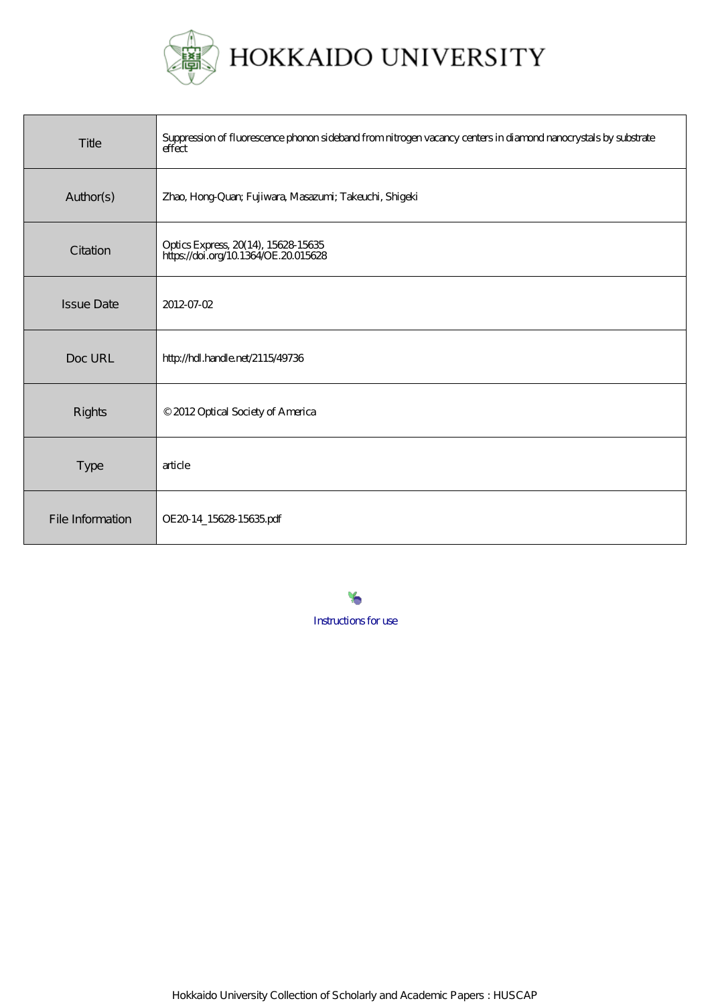

| Title             | Suppression of fluorescence phonon sideband from nitrogen vacancy centers in diamond nanocrystals by substrate<br>effect |
|-------------------|--------------------------------------------------------------------------------------------------------------------------|
| Author(s)         | Zhao, Hong-Quan; Fujiwara, Masazumi; Takeuchi, Shigeki                                                                   |
| Citation          | Optics Express, 20(14), 15628-15635<br>https://doi.org/10.1364/OE.20015628                                               |
| <b>Issue Date</b> | 2012-07-02                                                                                                               |
| Doc URL           | http://hdl.handle.net/2115/49736                                                                                         |
| <b>Rights</b>     | © 2012 Optical Society of America                                                                                        |
| <b>Type</b>       | article                                                                                                                  |
| File Information  | OE20 14_15628 15635 pdf                                                                                                  |

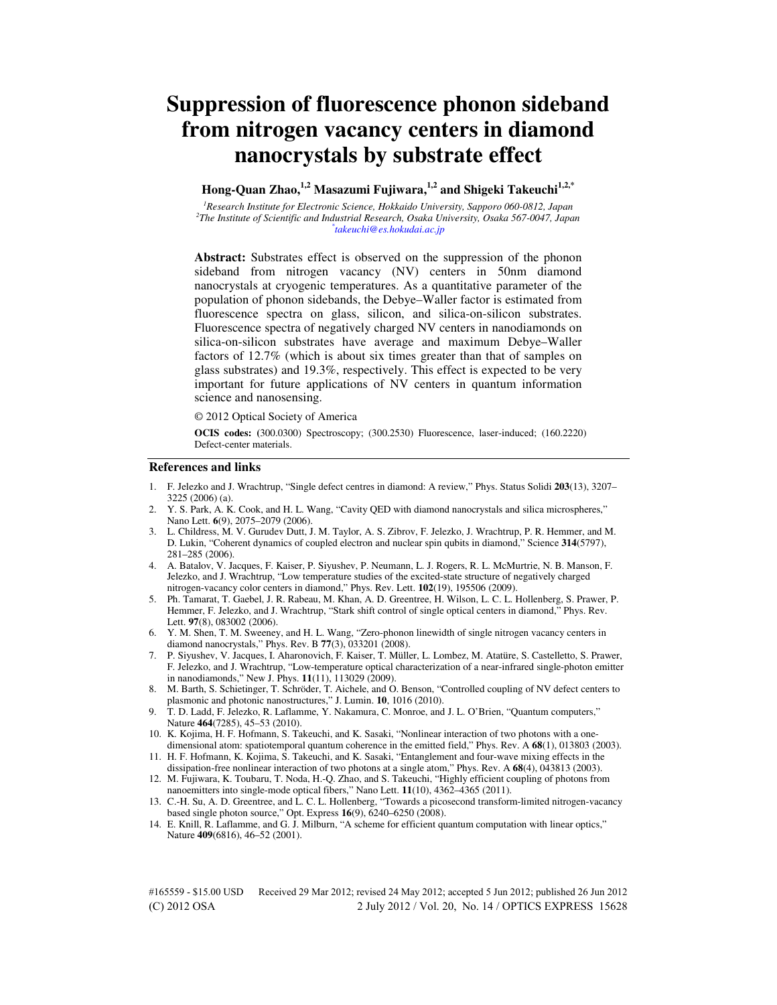# **Suppression of fluorescence phonon sideband from nitrogen vacancy centers in diamond nanocrystals by substrate effect**

**Hong-Quan Zhao,1,2 Masazumi Fujiwara,1,2 and Shigeki Takeuchi1,2,\***

*<sup>1</sup>Research Institute for Electronic Science, Hokkaido University, Sapporo 060-0812, Japan 2 The Institute of Scientific and Industrial Research, Osaka University, Osaka 567-0047, Japan \* takeuchi@es.hokudai.ac.jp* 

**Abstract:** Substrates effect is observed on the suppression of the phonon sideband from nitrogen vacancy (NV) centers in 50nm diamond nanocrystals at cryogenic temperatures. As a quantitative parameter of the population of phonon sidebands, the Debye–Waller factor is estimated from fluorescence spectra on glass, silicon, and silica-on-silicon substrates. Fluorescence spectra of negatively charged NV centers in nanodiamonds on silica-on-silicon substrates have average and maximum Debye–Waller factors of 12.7% (which is about six times greater than that of samples on glass substrates) and 19.3%, respectively. This effect is expected to be very important for future applications of NV centers in quantum information science and nanosensing.

© 2012 Optical Society of America

**OCIS codes: (**300.0300) Spectroscopy; (300.2530) Fluorescence, laser-induced; (160.2220) Defect-center materials.

## **References and links**

- 1. F. Jelezko and J. Wrachtrup, "Single defect centres in diamond: A review," Phys. Status Solidi **203**(13), 3207– 3225 (2006) (a).
- 2. Y. S. Park, A. K. Cook, and H. L. Wang, "Cavity QED with diamond nanocrystals and silica microspheres," Nano Lett. **6**(9), 2075–2079 (2006).
- 3. L. Childress, M. V. Gurudev Dutt, J. M. Taylor, A. S. Zibrov, F. Jelezko, J. Wrachtrup, P. R. Hemmer, and M. D. Lukin, "Coherent dynamics of coupled electron and nuclear spin qubits in diamond," Science **314**(5797), 281–285 (2006).
- 4. A. Batalov, V. Jacques, F. Kaiser, P. Siyushev, P. Neumann, L. J. Rogers, R. L. McMurtrie, N. B. Manson, F. Jelezko, and J. Wrachtrup, "Low temperature studies of the excited-state structure of negatively charged nitrogen-vacancy color centers in diamond," Phys. Rev. Lett. **102**(19), 195506 (2009).
- 5. Ph. Tamarat, T. Gaebel, J. R. Rabeau, M. Khan, A. D. Greentree, H. Wilson, L. C. L. Hollenberg, S. Prawer, P. Hemmer, F. Jelezko, and J. Wrachtrup, "Stark shift control of single optical centers in diamond," Phys. Rev. Lett. **97**(8), 083002 (2006).
- 6. Y. M. Shen, T. M. Sweeney, and H. L. Wang, "Zero-phonon linewidth of single nitrogen vacancy centers in diamond nanocrystals," Phys. Rev. B **77**(3), 033201 (2008).
- 7. P. Siyushev, V. Jacques, I. Aharonovich, F. Kaiser, T. Müller, L. Lombez, M. Atatüre, S. Castelletto, S. Prawer, F. Jelezko, and J. Wrachtrup, "Low-temperature optical characterization of a near-infrared single-photon emitter in nanodiamonds," New J. Phys. **11**(11), 113029 (2009).
- 8. M. Barth, S. Schietinger, T. Schröder, T. Aichele, and O. Benson, "Controlled coupling of NV defect centers to plasmonic and photonic nanostructures," J. Lumin. **10**, 1016 (2010).
- 9. T. D. Ladd, F. Jelezko, R. Laflamme, Y. Nakamura, C. Monroe, and J. L. O'Brien, "Quantum computers," Nature **464**(7285), 45–53 (2010).
- 10. K. Kojima, H. F. Hofmann, S. Takeuchi, and K. Sasaki, "Nonlinear interaction of two photons with a onedimensional atom: spatiotemporal quantum coherence in the emitted field," Phys. Rev. A **68**(1), 013803 (2003).
- 11. H. F. Hofmann, K. Kojima, S. Takeuchi, and K. Sasaki, "Entanglement and four-wave mixing effects in the dissipation-free nonlinear interaction of two photons at a single atom," Phys. Rev. A **68**(4), 043813 (2003).
- 12. M. Fujiwara, K. Toubaru, T. Noda, H.-Q. Zhao, and S. Takeuchi, "Highly efficient coupling of photons from nanoemitters into single-mode optical fibers," Nano Lett. **11**(10), 4362–4365 (2011).
- 13. C.-H. Su, A. D. Greentree, and L. C. L. Hollenberg, "Towards a picosecond transform-limited nitrogen-vacancy based single photon source," Opt. Express **16**(9), 6240–6250 (2008).
- 14. E. Knill, R. Laflamme, and G. J. Milburn, "A scheme for efficient quantum computation with linear optics," Nature **409**(6816), 46–52 (2001).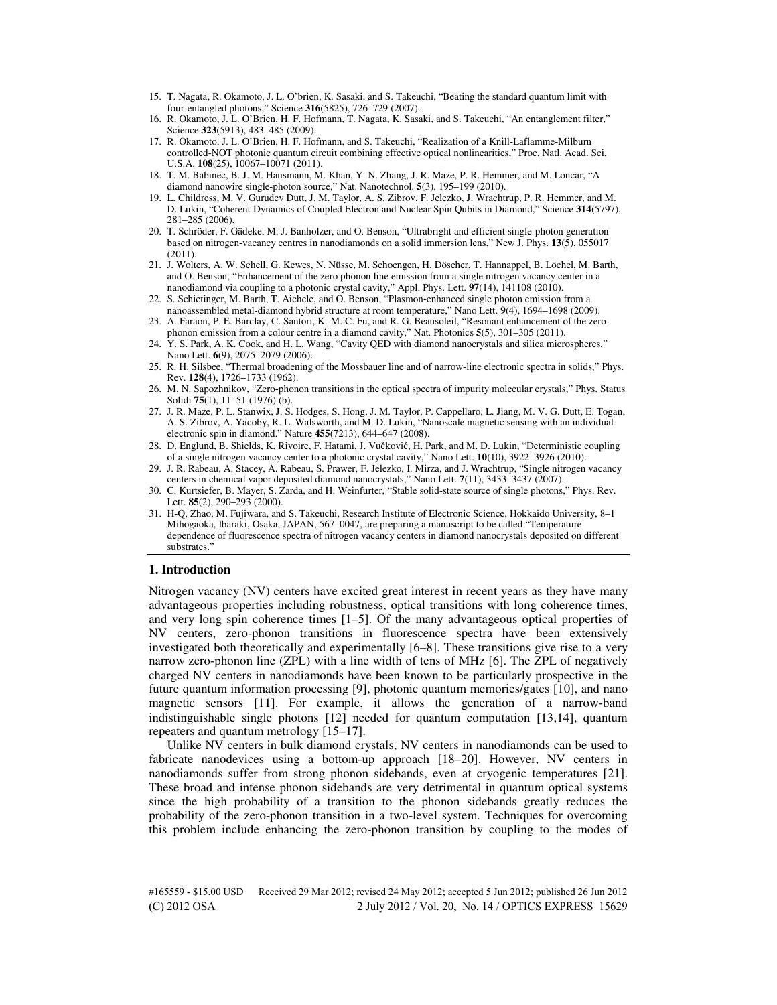- 15. T. Nagata, R. Okamoto, J. L. O'brien, K. Sasaki, and S. Takeuchi, "Beating the standard quantum limit with four-entangled photons," Science **316**(5825), 726–729 (2007).
- 16. R. Okamoto, J. L. O'Brien, H. F. Hofmann, T. Nagata, K. Sasaki, and S. Takeuchi, "An entanglement filter," Science **323**(5913), 483–485 (2009).
- 17. R. Okamoto, J. L. O'Brien, H. F. Hofmann, and S. Takeuchi, "Realization of a Knill-Laflamme-Milburn controlled-NOT photonic quantum circuit combining effective optical nonlinearities," Proc. Natl. Acad. Sci. U.S.A. **108**(25), 10067–10071 (2011).
- 18. T. M. Babinec, B. J. M. Hausmann, M. Khan, Y. N. Zhang, J. R. Maze, P. R. Hemmer, and M. Loncar, "A diamond nanowire single-photon source," Nat. Nanotechnol. **5**(3), 195–199 (2010).
- 19. L. Childress, M. V. Gurudev Dutt, J. M. Taylor, A. S. Zibrov, F. Jelezko, J. Wrachtrup, P. R. Hemmer, and M. D. Lukin, "Coherent Dynamics of Coupled Electron and Nuclear Spin Qubits in Diamond," Science **314**(5797), 281–285 (2006).
- 20. T. Schröder, F. Gädeke, M. J. Banholzer, and O. Benson, "Ultrabright and efficient single-photon generation based on nitrogen-vacancy centres in nanodiamonds on a solid immersion lens," New J. Phys. **13**(5), 055017 (2011).
- 21. J. Wolters, A. W. Schell, G. Kewes, N. Nüsse, M. Schoengen, H. Döscher, T. Hannappel, B. Löchel, M. Barth, and O. Benson, "Enhancement of the zero phonon line emission from a single nitrogen vacancy center in a nanodiamond via coupling to a photonic crystal cavity," Appl. Phys. Lett. **97**(14), 141108 (2010).
- 22. S. Schietinger, M. Barth, T. Aichele, and O. Benson, "Plasmon-enhanced single photon emission from a nanoassembled metal-diamond hybrid structure at room temperature," Nano Lett. **9**(4), 1694–1698 (2009).
- 23. A. Faraon, P. E. Barclay, C. Santori, K.-M. C. Fu, and R. G. Beausoleil, "Resonant enhancement of the zerophonon emission from a colour centre in a diamond cavity," Nat. Photonics **5**(5), 301–305 (2011).
- 24. Y. S. Park, A. K. Cook, and H. L. Wang, "Cavity QED with diamond nanocrystals and silica microspheres," Nano Lett. **6**(9), 2075–2079 (2006).
- 25. R. H. Silsbee, "Thermal broadening of the Mössbauer line and of narrow-line electronic spectra in solids," Phys. Rev. **128**(4), 1726–1733 (1962).
- 26. M. N. Sapozhnikov, "Zero-phonon transitions in the optical spectra of impurity molecular crystals," Phys. Status Solidi **75**(1), 11–51 (1976) (b).
- 27. J. R. Maze, P. L. Stanwix, J. S. Hodges, S. Hong, J. M. Taylor, P. Cappellaro, L. Jiang, M. V. G. Dutt, E. Togan, A. S. Zibrov, A. Yacoby, R. L. Walsworth, and M. D. Lukin, "Nanoscale magnetic sensing with an individual electronic spin in diamond," Nature **455**(7213), 644–647 (2008).
- 28. D. Englund, B. Shields, K. Rivoire, F. Hatami, J. Vučković, H. Park, and M. D. Lukin, "Deterministic coupling of a single nitrogen vacancy center to a photonic crystal cavity," Nano Lett. **10**(10), 3922–3926 (2010).
- 29. J. R. Rabeau, A. Stacey, A. Rabeau, S. Prawer, F. Jelezko, I. Mirza, and J. Wrachtrup, "Single nitrogen vacancy centers in chemical vapor deposited diamond nanocrystals," Nano Lett. **7**(11), 3433–3437 (2007).
- 30. C. Kurtsiefer, B. Mayer, S. Zarda, and H. Weinfurter, "Stable solid-state source of single photons," Phys. Rev. Lett. **85**(2), 290–293 (2000).
- 31. H-Q, Zhao, M. Fujiwara, and S. Takeuchi, Research Institute of Electronic Science, Hokkaido University, 8–1 Mihogaoka, Ibaraki, Osaka, JAPAN, 567–0047, are preparing a manuscript to be called "Temperature dependence of fluorescence spectra of nitrogen vacancy centers in diamond nanocrystals deposited on different substrates."

# **1. Introduction**

Nitrogen vacancy (NV) centers have excited great interest in recent years as they have many advantageous properties including robustness, optical transitions with long coherence times, and very long spin coherence times [1–5]. Of the many advantageous optical properties of NV centers, zero-phonon transitions in fluorescence spectra have been extensively investigated both theoretically and experimentally [6–8]. These transitions give rise to a very narrow zero-phonon line (ZPL) with a line width of tens of MHz [6]. The ZPL of negatively charged NV centers in nanodiamonds have been known to be particularly prospective in the future quantum information processing [9], photonic quantum memories/gates [10], and nano magnetic sensors [11]. For example, it allows the generation of a narrow-band indistinguishable single photons [12] needed for quantum computation [13,14], quantum repeaters and quantum metrology [15–17].

Unlike NV centers in bulk diamond crystals, NV centers in nanodiamonds can be used to fabricate nanodevices using a bottom-up approach [18–20]. However, NV centers in nanodiamonds suffer from strong phonon sidebands, even at cryogenic temperatures [21]. These broad and intense phonon sidebands are very detrimental in quantum optical systems since the high probability of a transition to the phonon sidebands greatly reduces the probability of the zero-phonon transition in a two-level system. Techniques for overcoming this problem include enhancing the zero-phonon transition by coupling to the modes of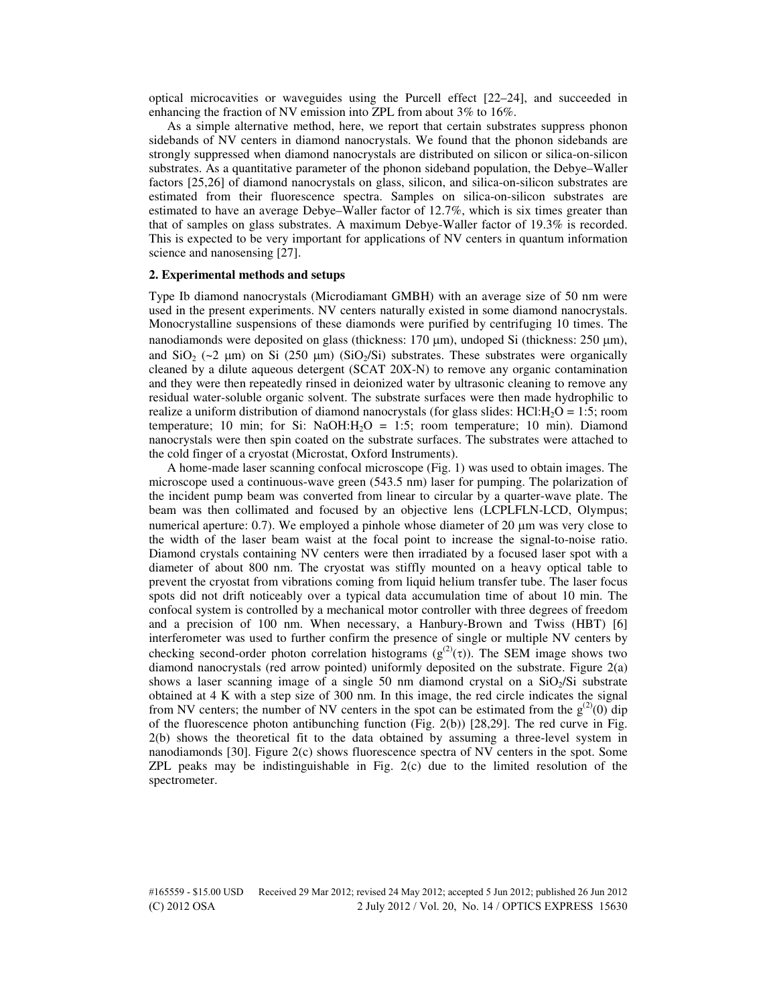optical microcavities or waveguides using the Purcell effect [22–24], and succeeded in enhancing the fraction of NV emission into ZPL from about 3% to 16%.

As a simple alternative method, here, we report that certain substrates suppress phonon sidebands of NV centers in diamond nanocrystals. We found that the phonon sidebands are strongly suppressed when diamond nanocrystals are distributed on silicon or silica-on-silicon substrates. As a quantitative parameter of the phonon sideband population, the Debye–Waller factors [25,26] of diamond nanocrystals on glass, silicon, and silica-on-silicon substrates are estimated from their fluorescence spectra. Samples on silica-on-silicon substrates are estimated to have an average Debye–Waller factor of 12.7%, which is six times greater than that of samples on glass substrates. A maximum Debye-Waller factor of 19.3% is recorded. This is expected to be very important for applications of NV centers in quantum information science and nanosensing [27].

#### **2. Experimental methods and setups**

Type Ib diamond nanocrystals (Microdiamant GMBH) with an average size of 50 nm were used in the present experiments. NV centers naturally existed in some diamond nanocrystals. Monocrystalline suspensions of these diamonds were purified by centrifuging 10 times. The nanodiamonds were deposited on glass (thickness:  $170 \mu m$ ), undoped Si (thickness:  $250 \mu m$ ), and  $\text{SiO}_2$  (~2  $\mu$ m) on Si (250  $\mu$ m) (SiO<sub>2</sub>/Si) substrates. These substrates were organically cleaned by a dilute aqueous detergent (SCAT 20X-N) to remove any organic contamination and they were then repeatedly rinsed in deionized water by ultrasonic cleaning to remove any residual water-soluble organic solvent. The substrate surfaces were then made hydrophilic to realize a uniform distribution of diamond nanocrystals (for glass slides:  $HCI:H<sub>2</sub>O = 1:5$ ; room temperature; 10 min; for Si: NaOH: $H_2O = 1:5$ ; room temperature; 10 min). Diamond nanocrystals were then spin coated on the substrate surfaces. The substrates were attached to the cold finger of a cryostat (Microstat, Oxford Instruments).

A home-made laser scanning confocal microscope (Fig. 1) was used to obtain images. The microscope used a continuous-wave green (543.5 nm) laser for pumping. The polarization of the incident pump beam was converted from linear to circular by a quarter-wave plate. The beam was then collimated and focused by an objective lens (LCPLFLN-LCD, Olympus; numerical aperture:  $0.7$ ). We employed a pinhole whose diameter of 20  $\mu$ m was very close to the width of the laser beam waist at the focal point to increase the signal-to-noise ratio. Diamond crystals containing NV centers were then irradiated by a focused laser spot with a diameter of about 800 nm. The cryostat was stiffly mounted on a heavy optical table to prevent the cryostat from vibrations coming from liquid helium transfer tube. The laser focus spots did not drift noticeably over a typical data accumulation time of about 10 min. The confocal system is controlled by a mechanical motor controller with three degrees of freedom and a precision of 100 nm. When necessary, a Hanbury-Brown and Twiss (HBT) [6] interferometer was used to further confirm the presence of single or multiple NV centers by checking second-order photon correlation histograms ( $g^{(2)}(\tau)$ ). The SEM image shows two diamond nanocrystals (red arrow pointed) uniformly deposited on the substrate. Figure 2(a) shows a laser scanning image of a single 50 nm diamond crystal on a  $SiO<sub>2</sub>/Si$  substrate obtained at 4 K with a step size of 300 nm. In this image, the red circle indicates the signal from NV centers; the number of NV centers in the spot can be estimated from the  $g^{(2)}(0)$  dip of the fluorescence photon antibunching function (Fig. 2(b)) [28,29]. The red curve in Fig. 2(b) shows the theoretical fit to the data obtained by assuming a three-level system in nanodiamonds [30]. Figure 2(c) shows fluorescence spectra of NV centers in the spot. Some ZPL peaks may be indistinguishable in Fig. 2(c) due to the limited resolution of the spectrometer.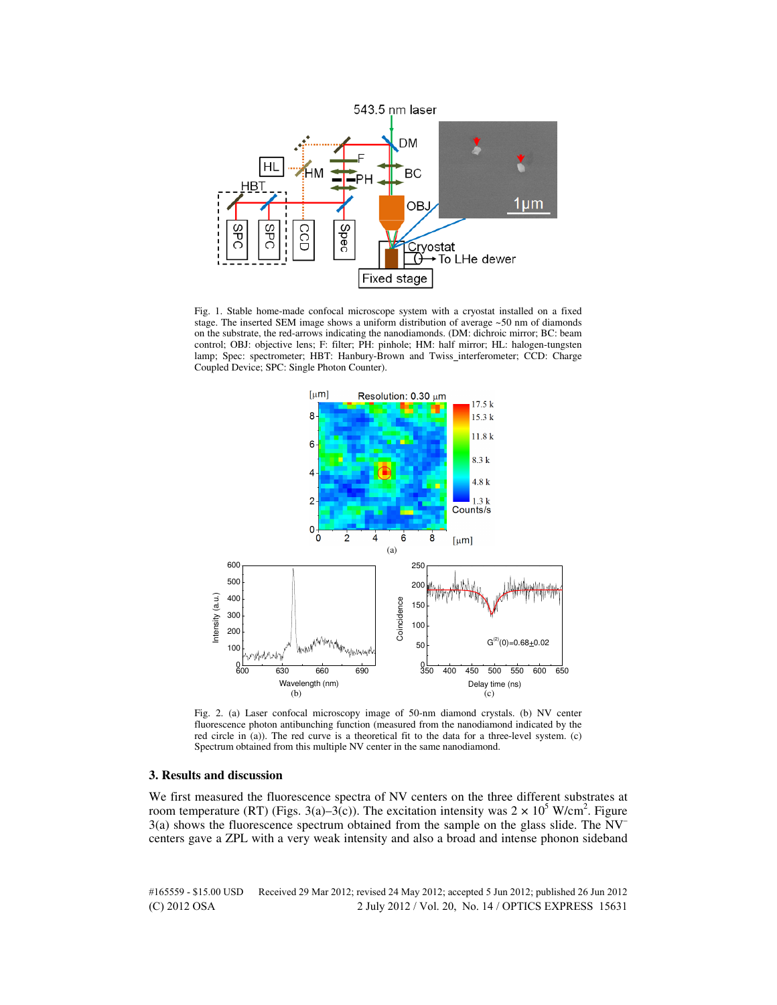

Fig. 1. Stable home-made confocal microscope system with a cryostat installed on a fixed stage. The inserted SEM image shows a uniform distribution of average ~50 nm of diamonds on the substrate, the red-arrows indicating the nanodiamonds. (DM: dichroic mirror; BC: beam control; OBJ: objective lens; F: filter; PH: pinhole; HM: half mirror; HL: halogen-tungsten lamp; Spec: spectrometer; HBT: Hanbury-Brown and Twiss\_interferometer; CCD: Charge Coupled Device; SPC: Single Photon Counter).



Fig. 2. (a) Laser confocal microscopy image of 50-nm diamond crystals. (b) NV center fluorescence photon antibunching function (measured from the nanodiamond indicated by the red circle in (a)). The red curve is a theoretical fit to the data for a three-level system. (c) Spectrum obtained from this multiple NV center in the same nanodiamond.

# **3. Results and discussion**

We first measured the fluorescence spectra of NV centers on the three different substrates at room temperature (RT) (Figs. 3(a)–3(c)). The excitation intensity was  $2 \times 10^5$  W/cm<sup>2</sup>. Figure 3(a) shows the fluorescence spectrum obtained from the sample on the glass slide. The NV– centers gave a ZPL with a very weak intensity and also a broad and intense phonon sideband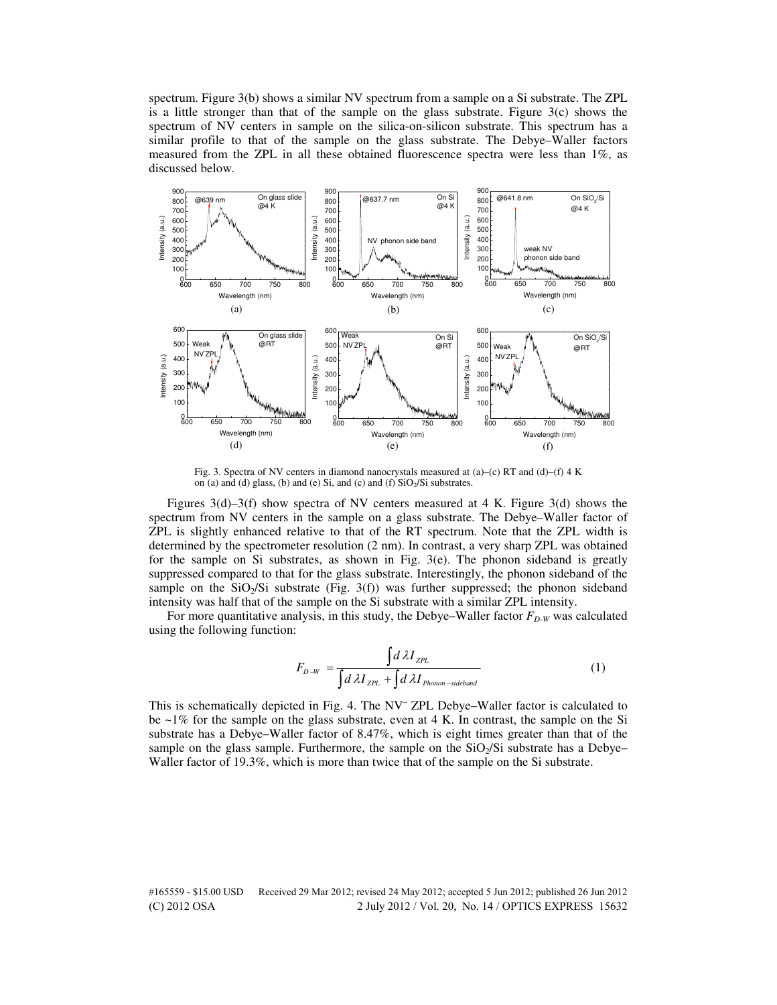spectrum. Figure 3(b) shows a similar NV spectrum from a sample on a Si substrate. The ZPL is a little stronger than that of the sample on the glass substrate. Figure  $3(c)$  shows the spectrum of NV centers in sample on the silica-on-silicon substrate. This spectrum has a similar profile to that of the sample on the glass substrate. The Debye–Waller factors measured from the ZPL in all these obtained fluorescence spectra were less than  $1\%$ , as discussed below.



Fig. 3. Spectra of NV centers in diamond nanocrystals measured at  $(a)$ –(c) RT and  $(d)$ –(f) 4 K on (a) and (d) glass, (b) and (e) Si, and (c) and (f)  $SiO<sub>2</sub>/Si$  substrates.

Figures 3(d)–3(f) show spectra of NV centers measured at 4 K. Figure 3(d) shows the spectrum from NV centers in the sample on a glass substrate. The Debye–Waller factor of ZPL is slightly enhanced relative to that of the RT spectrum. Note that the ZPL width is determined by the spectrometer resolution (2 nm). In contrast, a very sharp ZPL was obtained for the sample on Si substrates, as shown in Fig. 3(e). The phonon sideband is greatly suppressed compared to that for the glass substrate. Interestingly, the phonon sideband of the sample on the  $SiO<sub>2</sub>/Si$  substrate (Fig. 3(f)) was further suppressed; the phonon sideband intensity was half that of the sample on the Si substrate with a similar ZPL intensity.

For more quantitative analysis, in this study, the Debye–Waller factor  $F_{D-W}$  was calculated using the following function:

$$
F_{D-W} = \frac{\int d\lambda I_{ZPL}}{\int d\lambda I_{ZPL} + \int d\lambda I_{Phomon-sidedband}}
$$
(1)

This is schematically depicted in Fig. 4. The NV<sup>-</sup> ZPL Debye-Waller factor is calculated to be  $\sim$ 1% for the sample on the glass substrate, even at 4 K. In contrast, the sample on the Si substrate has a Debye–Waller factor of 8.47%, which is eight times greater than that of the sample on the glass sample. Furthermore, the sample on the  $SiO<sub>2</sub>/Si$  substrate has a Debye– Waller factor of 19.3%, which is more than twice that of the sample on the Si substrate.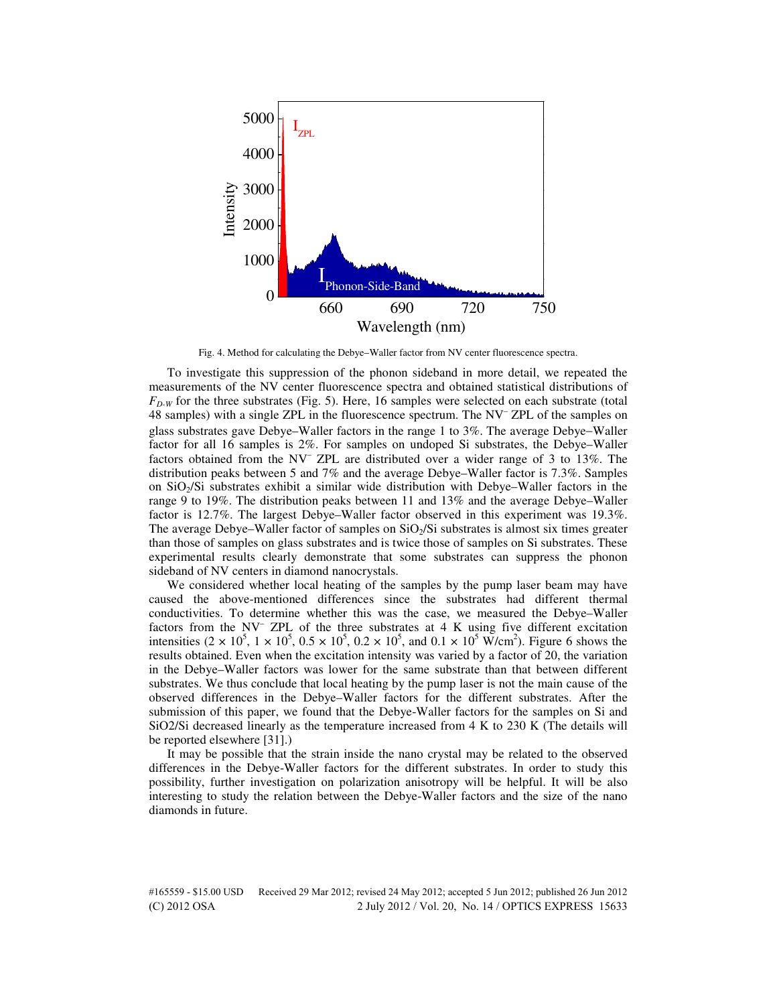

Fig. 4. Method for calculating the Debye–Waller factor from NV center fluorescence spectra.

To investigate this suppression of the phonon sideband in more detail, we repeated the measurements of the NV center fluorescence spectra and obtained statistical distributions of  $F_{D,W}$  for the three substrates (Fig. 5). Here, 16 samples were selected on each substrate (total 48 samples) with a single ZPL in the fluorescence spectrum. The NV– ZPL of the samples on glass substrates gave Debye–Waller factors in the range 1 to 3%. The average Debye−Waller factor for all 16 samples is 2%. For samples on undoped Si substrates, the Debye–Waller factors obtained from the NV– ZPL are distributed over a wider range of 3 to 13%. The distribution peaks between 5 and 7% and the average Debye–Waller factor is 7.3%. Samples on SiO2/Si substrates exhibit a similar wide distribution with Debye–Waller factors in the range 9 to 19%. The distribution peaks between 11 and 13% and the average Debye–Waller factor is 12.7%. The largest Debye–Waller factor observed in this experiment was 19.3%. The average Debye–Waller factor of samples on  $SiO<sub>2</sub>/Si$  substrates is almost six times greater than those of samples on glass substrates and is twice those of samples on Si substrates. These experimental results clearly demonstrate that some substrates can suppress the phonon sideband of NV centers in diamond nanocrystals.

We considered whether local heating of the samples by the pump laser beam may have caused the above-mentioned differences since the substrates had different thermal conductivities. To determine whether this was the case, we measured the Debye–Waller factors from the NV<sup>-</sup> ZPL of the three substrates at 4 K using five different excitation intensities  $(2 \times 10^5, 1 \times 10^5, 0.5 \times 10^5, 0.2 \times 10^5, \text{ and } 0.1 \times 10^5 \text{ W/cm}^2)$ . Figure 6 shows the results obtained. Even when the excitation intensity was varied by a factor of 20, the variation in the Debye–Waller factors was lower for the same substrate than that between different substrates. We thus conclude that local heating by the pump laser is not the main cause of the observed differences in the Debye–Waller factors for the different substrates. After the submission of this paper, we found that the Debye-Waller factors for the samples on Si and SiO2/Si decreased linearly as the temperature increased from 4 K to 230 K (The details will be reported elsewhere [31].)

It may be possible that the strain inside the nano crystal may be related to the observed differences in the Debye-Waller factors for the different substrates. In order to study this possibility, further investigation on polarization anisotropy will be helpful. It will be also interesting to study the relation between the Debye-Waller factors and the size of the nano diamonds in future.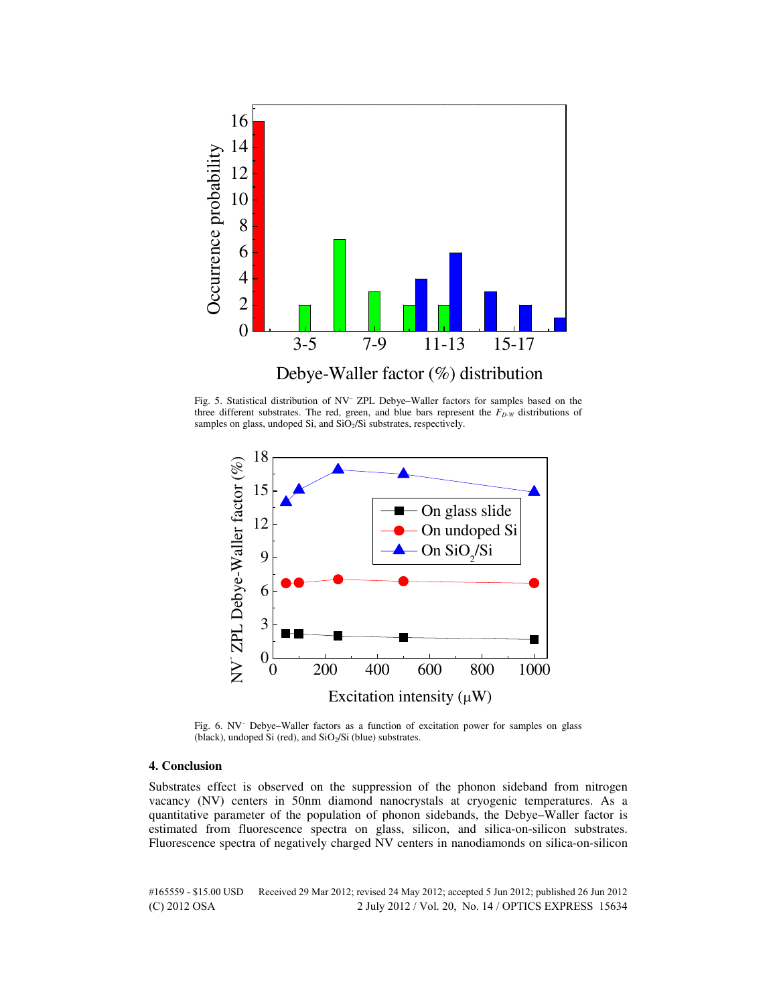

Fig. 5. Statistical distribution of NV– ZPL Debye–Waller factors for samples based on the three different substrates. The red, green, and blue bars represent the *FD-W* distributions of samples on glass, undoped Si, and SiO<sub>2</sub>/Si substrates, respectively.



Fig. 6. NV– Debye–Waller factors as a function of excitation power for samples on glass (black), undoped Si (red), and  $SiO<sub>2</sub>/Si$  (blue) substrates.

#### **4. Conclusion**

Substrates effect is observed on the suppression of the phonon sideband from nitrogen vacancy (NV) centers in 50nm diamond nanocrystals at cryogenic temperatures. As a quantitative parameter of the population of phonon sidebands, the Debye–Waller factor is estimated from fluorescence spectra on glass, silicon, and silica-on-silicon substrates. Fluorescence spectra of negatively charged NV centers in nanodiamonds on silica-on-silicon